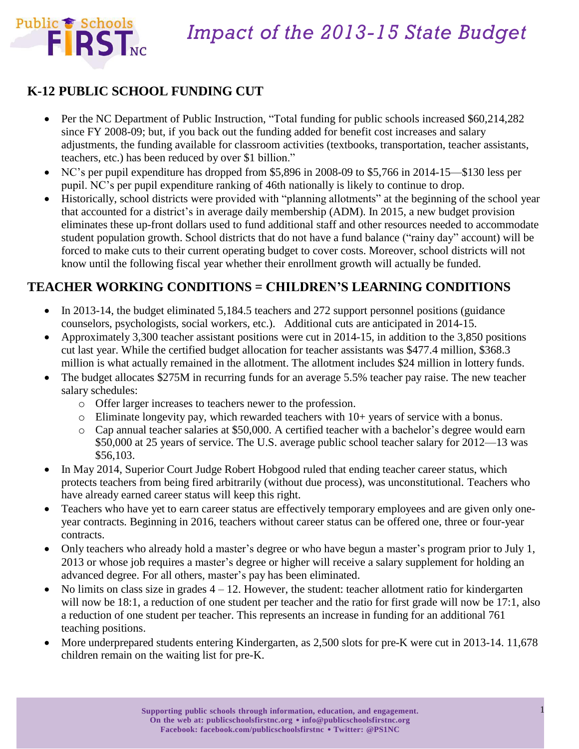

## *Impact of the 2013-15 State Budget*

### **K-12 PUBLIC SCHOOL FUNDING CUT**

- Per the NC Department of Public Instruction, "Total funding for public schools increased \$60,214,282 since FY 2008-09; but, if you back out the funding added for benefit cost increases and salary adjustments, the funding available for classroom activities (textbooks, transportation, teacher assistants, teachers, etc.) has been reduced by over \$1 billion."
- NC's per pupil expenditure has dropped from \$5,896 in 2008-09 to \$5,766 in 2014-15—\$130 less per pupil. NC's per pupil expenditure ranking of 46th nationally is likely to continue to drop.
- Historically, school districts were provided with "planning allotments" at the beginning of the school year that accounted for a district's in average daily membership (ADM). In 2015, a new budget provision eliminates these up-front dollars used to fund additional staff and other resources needed to accommodate student population growth. School districts that do not have a fund balance ("rainy day" account) will be forced to make cuts to their current operating budget to cover costs. Moreover, school districts will not know until the following fiscal year whether their enrollment growth will actually be funded.

#### **TEACHER WORKING CONDITIONS = CHILDREN'S LEARNING CONDITIONS**

- In 2013-14, the budget eliminated 5,184.5 teachers and 272 support personnel positions (guidance counselors, psychologists, social workers, etc.). Additional cuts are anticipated in 2014-15.
- Approximately 3,300 teacher assistant positions were cut in 2014-15, in addition to the 3,850 positions cut last year. While the certified budget allocation for teacher assistants was \$477.4 million, \$368.3 million is what actually remained in the allotment. The allotment includes \$24 million in lottery funds.
- The budget allocates \$275M in recurring funds for an average 5.5% teacher pay raise. The new teacher salary schedules:
	- o Offer larger increases to teachers newer to the profession.
	- $\circ$  Eliminate longevity pay, which rewarded teachers with 10+ years of service with a bonus.
	- o Cap annual teacher salaries at \$50,000. A certified teacher with a bachelor's degree would earn \$50,000 at 25 years of service. The U.S. average public school teacher salary for 2012—13 was \$56,103.
- In May 2014, Superior Court Judge Robert Hobgood ruled that ending teacher career status, which protects teachers from being fired arbitrarily (without due process), was unconstitutional. Teachers who have already earned career status will keep this right.
- Teachers who have yet to earn career status are effectively temporary employees and are given only oneyear contracts. Beginning in 2016, teachers without career status can be offered one, three or four-year contracts.
- Only teachers who already hold a master's degree or who have begun a master's program prior to July 1, 2013 or whose job requires a master's degree or higher will receive a salary supplement for holding an advanced degree. For all others, master's pay has been eliminated.
- $\bullet$  No limits on class size in grades  $4 12$ . However, the student: teacher allotment ratio for kindergarten will now be 18:1, a reduction of one student per teacher and the ratio for first grade will now be 17:1, also a reduction of one student per teacher. This represents an increase in funding for an additional 761 teaching positions.
- More underprepared students entering Kindergarten, as 2,500 slots for pre-K were cut in 2013-14. 11,678 children remain on the waiting list for pre-K.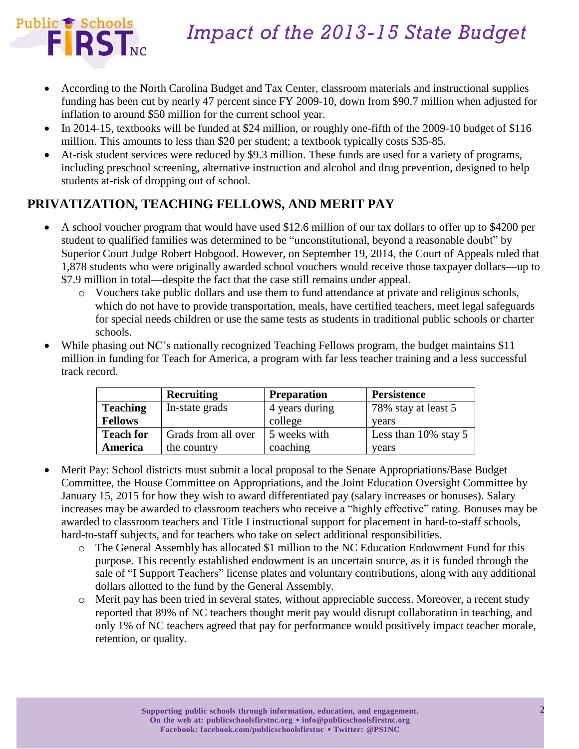

## *Impact of the 2013-15 State Budget*

- According to the North Carolina Budget and Tax Center, classroom materials and instructional supplies funding has been cut by nearly 47 percent since FY 2009-10, down from \$90.7 million when adjusted for inflation to around \$50 million for the current school year.
- In 2014-15, textbooks will be funded at \$24 million, or roughly one-fifth of the 2009-10 budget of \$116 million. This amounts to less than \$20 per student; a textbook typically costs \$35-85.
- At-risk student services were reduced by \$9.3 million. These funds are used for a variety of programs, including preschool screening, alternative instruction and alcohol and drug prevention, designed to help students at-risk of dropping out of school.

### **PRIVATIZATION, TEACHING FELLOWS, AND MERIT PAY**

- A school voucher program that would have used \$12.6 million of our tax dollars to offer up to \$4200 per student to qualified families was determined to be "unconstitutional, beyond a reasonable doubt" by Superior Court Judge Robert Hobgood. However, on September 19, 2014, the Court of Appeals ruled that 1,878 students who were originally awarded school vouchers would receive those taxpayer dollars—up to \$7.9 million in total—despite the fact that the case still remains under appeal.
	- o Vouchers take public dollars and use them to fund attendance at private and religious schools, which do not have to provide transportation, meals, have certified teachers, meet legal safeguards for special needs children or use the same tests as students in traditional public schools or charter schools.
- While phasing out NC's nationally recognized Teaching Fellows program, the budget maintains \$11 million in funding for Teach for America, a program with far less teacher training and a less successful track record.

|                  | <b>Recruiting</b>   | <b>Preparation</b> | <b>Persistence</b>      |
|------------------|---------------------|--------------------|-------------------------|
| <b>Teaching</b>  | In-state grads      | 4 years during     | 78% stay at least 5     |
| <b>Fellows</b>   |                     | college            | vears                   |
| <b>Teach for</b> | Grads from all over | 5 weeks with       | Less than $10\%$ stay 5 |
| America          | the country         | coaching           | vears                   |

- Merit Pay: School districts must submit a local proposal to the Senate Appropriations/Base Budget Committee, the House Committee on Appropriations, and the Joint Education Oversight Committee by January 15, 2015 for how they wish to award differentiated pay (salary increases or bonuses). Salary increases may be awarded to classroom teachers who receive a "highly effective" rating. Bonuses may be awarded to classroom teachers and Title I instructional support for placement in hard-to-staff schools, hard-to-staff subjects, and for teachers who take on select additional responsibilities.
	- o The General Assembly has allocated \$1 million to the NC Education Endowment Fund for this purpose. This recently established endowment is an uncertain source, as it is funded through the sale of "I Support Teachers" license plates and voluntary contributions, along with any additional dollars allotted to the fund by the General Assembly.
	- o Merit pay has been tried in several states, without appreciable success. Moreover, a recent study reported that 89% of NC teachers thought merit pay would disrupt collaboration in teaching, and only 1% of NC teachers agreed that pay for performance would positively impact teacher morale, retention, or quality.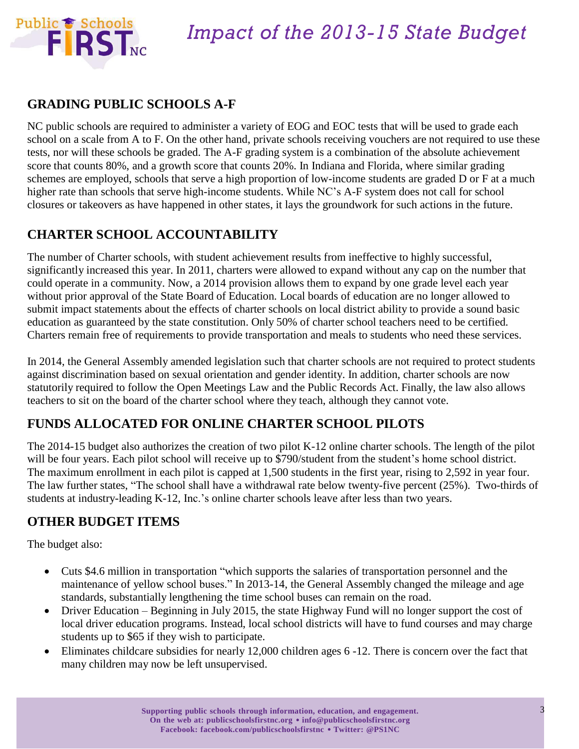

#### **GRADING PUBLIC SCHOOLS A-F**

NC public schools are required to administer a variety of EOG and EOC tests that will be used to grade each school on a scale from A to F. On the other hand, private schools receiving vouchers are not required to use these tests, nor will these schools be graded. The A-F grading system is a combination of the absolute achievement score that counts 80%, and a growth score that counts 20%. In Indiana and Florida, where similar grading schemes are employed, schools that serve a high proportion of low-income students are graded D or F at a much higher rate than schools that serve high-income students. While NC's A-F system does not call for school closures or takeovers as have happened in other states, it lays the groundwork for such actions in the future.

### **CHARTER SCHOOL ACCOUNTABILITY**

The number of Charter schools, with student achievement results from ineffective to highly successful, significantly increased this year. In 2011, charters were allowed to expand without any cap on the number that could operate in a community. Now, a 2014 provision allows them to expand by one grade level each year without prior approval of the State Board of Education. Local boards of education are no longer allowed to submit impact statements about the effects of charter schools on local district ability to provide a sound basic education as guaranteed by the state constitution. Only 50% of charter school teachers need to be certified. Charters remain free of requirements to provide transportation and meals to students who need these services.

In 2014, the General Assembly amended legislation such that charter schools are not required to protect students against discrimination based on sexual orientation and gender identity. In addition, charter schools are now statutorily required to follow the Open Meetings Law and the Public Records Act. Finally, the law also allows teachers to sit on the board of the charter school where they teach, although they cannot vote.

#### **FUNDS ALLOCATED FOR ONLINE CHARTER SCHOOL PILOTS**

The 2014-15 budget also authorizes the creation of two pilot K-12 online charter schools. The length of the pilot will be four years. Each pilot school will receive up to \$790/student from the student's home school district. The maximum enrollment in each pilot is capped at 1,500 students in the first year, rising to 2,592 in year four. The law further states, "The school shall have a withdrawal rate below twenty-five percent (25%). Two-thirds of students at industry-leading K-12, Inc.'s online charter schools leave after less than two years.

#### **OTHER BUDGET ITEMS**

The budget also:

- Cuts \$4.6 million in transportation "which supports the salaries of transportation personnel and the maintenance of yellow school buses." In 2013-14, the General Assembly changed the mileage and age standards, substantially lengthening the time school buses can remain on the road.
- Driver Education Beginning in July 2015, the state Highway Fund will no longer support the cost of local driver education programs. Instead, local school districts will have to fund courses and may charge students up to \$65 if they wish to participate.
- Eliminates childcare subsidies for nearly 12,000 children ages 6 -12. There is concern over the fact that many children may now be left unsupervised.